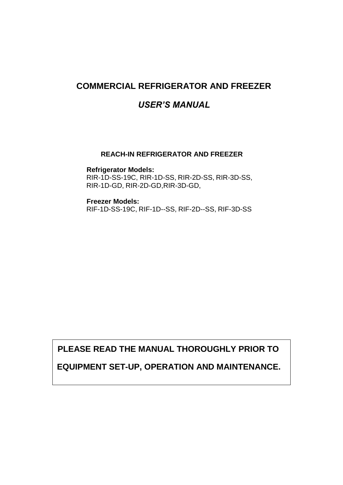### **COMMERCIAL REFRIGERATOR AND FREEZER**

### *USER'S MANUAL*

#### **REACH-IN REFRIGERATOR AND FREEZER**

**Refrigerator Models:**  RIR-1D-SS-19C, RIR-1D-SS, RIR-2D-SS, RIR-3D-SS, RIR-1D-GD, RIR-2D-GD,RIR-3D-GD,

**Freezer Models:**  RIF-1D-SS-19C, RIF-1D--SS, RIF-2D--SS, RIF-3D-SS

**PLEASE READ THE MANUAL THOROUGHLY PRIOR TO**

### **EQUIPMENT SET-UP, OPERATION AND MAINTENANCE.**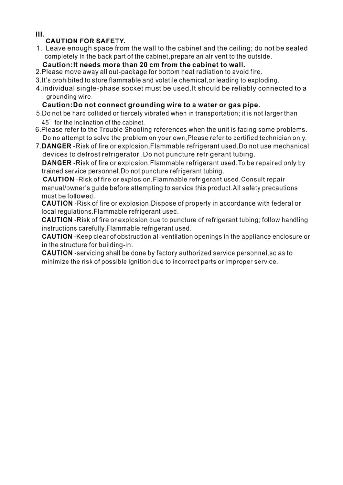Ш.

### **CAUTION FOR SAFETY.**

1. Leave enough space from the wall to the cabinet and the ceiling; do not be sealed completely in the back part of the cabinet, prepare an air vent to the outside.

### Caution: It needs more than 20 cm from the cabinet to wall.

- 2. Please move away all out-package for bottom heat radiation to avoid fire.
- 3. It's prohibited to store flammable and volatile chemical or leading to exploding.
- 4. individual single-phase socket must be used. It should be reliably connected to a grounding wire.

### Caution: Do not connect grounding wire to a water or gas pipe.

- 5. Do not be hard collided or fiercely vibrated when in transportation; it is not larger than 45° for the inclination of the cabinet.
- 6. Please refer to the Trouble Shooting references when the unit is facing some problems. Do no attempt to solve the problem on your own, Please refer to certified technician only.
- 7. DANGER Risk of fire or explosion. Flammable refrigerant used. Do not use mechanical devices to defrost refrigerator. Do not puncture refrigerant tubing.

**DANGER**-Risk of fire or explosion. Flammable refrigerant used. To be repaired only by trained service personnel. Do not puncture refrigerant tubing.

**CAUTION** - Risk of fire or explosion. Flammable refrigerant used. Consult repair manual/owner's quide before attempting to service this product. All safety precautions must be followed.

**CAUTION** - Risk of fire or explosion. Dispose of properly in accordance with federal or local regulations. Flammable refrigerant used.

**CAUTION** - Risk of fire or explosion due to puncture of refrigerant tubing; follow handling instructions carefully. Flammable refrigerant used.

**CAUTION** - Keep clear of obstruction all ventilation openings in the appliance enclosure or in the structure for building-in.

**CAUTION** -servicing shall be done by factory authorized service personnel, so as to minimize the risk of possible ignition due to incorrect parts or improper service.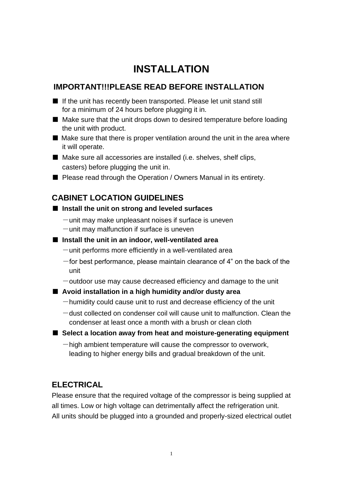## **INSTALLATION**

### **IMPORTANT!!!PLEASE READ BEFORE INSTALLATION**

- If the unit has recently been transported. Please let unit stand still for a minimum of 24 hours before plugging it in.
- Make sure that the unit drops down to desired temperature before loading the unit with product.
- Make sure that there is proper ventilation around the unit in the area where it will operate.

■ Make sure all accessories are installed (i.e. shelves, shelf clips, casters) before plugging the unit in.

■ Please read through the Operation / Owners Manual in its entirety.

### **CABINET LOCATION GUIDELINES**

#### ■ Install the unit on strong and leveled surfaces

- $-$ unit may make unpleasant noises if surface is uneven
- $-$ unit may malfunction if surface is uneven
- Install the unit in an indoor, well-ventilated area
	- $-$ unit performs more efficiently in a well-ventilated area
	- $-$  for best performance, please maintain clearance of 4" on the back of the unit
	- $-$ outdoor use may cause decreased efficiency and damage to the unit

#### ■ **Avoid installation in a high humidity and/or dusty area**

- $-$ humidity could cause unit to rust and decrease efficiency of the unit
- $-dust$  collected on condenser coil will cause unit to malfunction. Clean the condenser at least once a month with a brush or clean cloth
- Select a location away from heat and moisture-generating equipment
	- $-$ high ambient temperature will cause the compressor to overwork, leading to higher energy bills and gradual breakdown of the unit.

### **ELECTRICAL**

Please ensure that the required voltage of the compressor is being supplied at all times. Low or high voltage can detrimentally affect the refrigeration unit. All units should be plugged into a grounded and properly-sized electrical outlet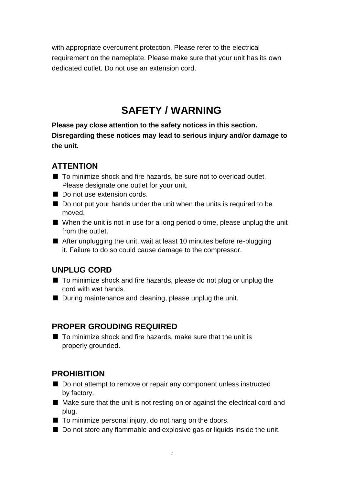with appropriate overcurrent protection. Please refer to the electrical requirement on the nameplate. Please make sure that your unit has its own dedicated outlet. Do not use an extension cord.

## **SAFETY / WARNING**

**Please pay close attention to the safety notices in this section. Disregarding these notices may lead to serious injury and/or damage to the unit.**

### **ATTENTION**

- To minimize shock and fire hazards, be sure not to overload outlet. Please designate one outlet for your unit.
- Do not use extension cords.
- Do not put your hands under the unit when the units is required to be moved.
- When the unit is not in use for a long period o time, please unplug the unit from the outlet.
- After unplugging the unit, wait at least 10 minutes before re-plugging it. Failure to do so could cause damage to the compressor.

### **UNPLUG CORD**

- To minimize shock and fire hazards, please do not plug or unplug the cord with wet hands.
- During maintenance and cleaning, please unplug the unit.

### **PROPER GROUDING REQUIRED**

■ To minimize shock and fire hazards, make sure that the unit is properly grounded.

### **PROHIBITION**

- Do not attempt to remove or repair any component unless instructed by factory.
- Make sure that the unit is not resting on or against the electrical cord and plug.
- To minimize personal injury, do not hang on the doors.
- Do not store any flammable and explosive gas or liquids inside the unit.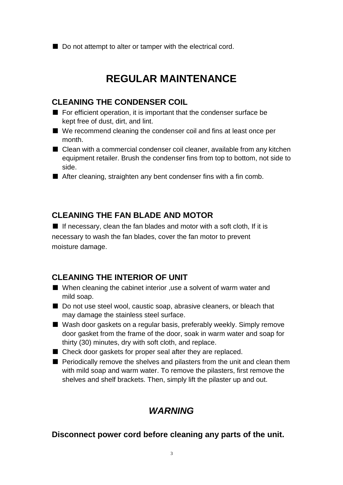■ Do not attempt to alter or tamper with the electrical cord.

## **REGULAR MAINTENANCE**

### **CLEANING THE CONDENSER COIL**

- For efficient operation, it is important that the condenser surface be kept free of dust, dirt, and lint.
- We recommend cleaning the condenser coil and fins at least once per month.
- Clean with a commercial condenser coil cleaner, available from any kitchen equipment retailer. Brush the condenser fins from top to bottom, not side to side.
- After cleaning, straighten any bent condenser fins with a fin comb.

### **CLEANING THE FAN BLADE AND MOTOR**

■ If necessary, clean the fan blades and motor with a soft cloth, If it is necessary to wash the fan blades, cover the fan motor to prevent moisture damage.

### **CLEANING THE INTERIOR OF UNIT**

- When cleaning the cabinet interior , use a solvent of warm water and mild soap.
- Do not use steel wool, caustic soap, abrasive cleaners, or bleach that may damage the stainless steel surface.
- Wash door gaskets on a regular basis, preferably weekly. Simply remove door gasket from the frame of the door, soak in warm water and soap for thirty (30) minutes, dry with soft cloth, and replace.
- Check door gaskets for proper seal after they are replaced.
- Periodically remove the shelves and pilasters from the unit and clean them with mild soap and warm water. To remove the pilasters, first remove the shelves and shelf brackets. Then, simply lift the pilaster up and out.

### *WARNING*

#### **Disconnect power cord before cleaning any parts of the unit.**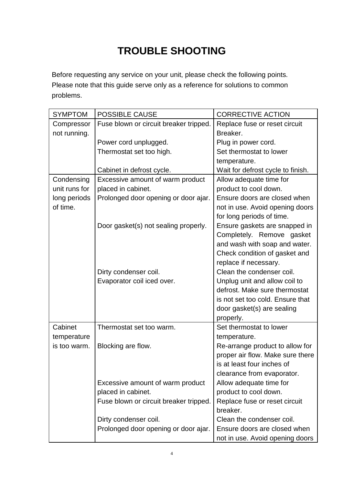# **TROUBLE SHOOTING**

Before requesting any service on your unit, please check the following points. Please note that this guide serve only as a reference for solutions to common problems.

| <b>SYMPTOM</b> | <b>POSSIBLE CAUSE</b>                  | <b>CORRECTIVE ACTION</b>          |
|----------------|----------------------------------------|-----------------------------------|
| Compressor     | Fuse blown or circuit breaker tripped. | Replace fuse or reset circuit     |
| not running.   |                                        | Breaker.                          |
|                | Power cord unplugged.                  | Plug in power cord.               |
|                | Thermostat set too high.               | Set thermostat to lower           |
|                |                                        | temperature.                      |
|                | Cabinet in defrost cycle.              | Wait for defrost cycle to finish. |
| Condensing     | Excessive amount of warm product       | Allow adequate time for           |
| unit runs for  | placed in cabinet.                     | product to cool down.             |
| long periods   | Prolonged door opening or door ajar.   | Ensure doors are closed when      |
| of time.       |                                        | not in use. Avoid opening doors   |
|                |                                        | for long periods of time.         |
|                | Door gasket(s) not sealing properly.   | Ensure gaskets are snapped in     |
|                |                                        | Completely. Remove gasket         |
|                |                                        | and wash with soap and water.     |
|                |                                        | Check condition of gasket and     |
|                |                                        | replace if necessary.             |
|                | Dirty condenser coil.                  | Clean the condenser coil.         |
|                | Evaporator coil iced over.             | Unplug unit and allow coil to     |
|                |                                        | defrost. Make sure thermostat     |
|                |                                        | is not set too cold. Ensure that  |
|                |                                        | door gasket(s) are sealing        |
|                |                                        | properly.                         |
| Cabinet        | Thermostat set too warm.               | Set thermostat to lower           |
| temperature    |                                        | temperature.                      |
| is too warm.   | Blocking are flow.                     | Re-arrange product to allow for   |
|                |                                        | proper air flow. Make sure there  |
|                |                                        | is at least four inches of        |
|                |                                        | clearance from evaporator.        |
|                | Excessive amount of warm product       | Allow adequate time for           |
|                | placed in cabinet.                     | product to cool down.             |
|                | Fuse blown or circuit breaker tripped. | Replace fuse or reset circuit     |
|                |                                        | breaker.                          |
|                | Dirty condenser coil.                  | Clean the condenser coil.         |
|                | Prolonged door opening or door ajar.   | Ensure doors are closed when      |
|                |                                        | not in use. Avoid opening doors   |